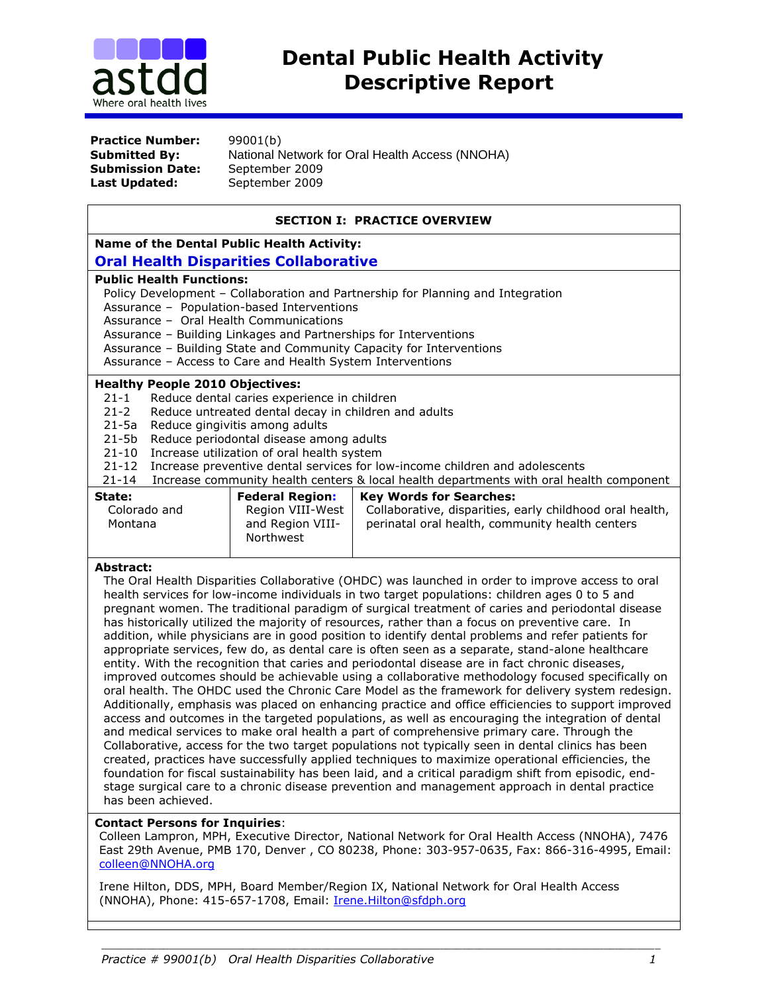

**Practice Number:** 99001(b) **Submission Date:** September 2009 Last Updated: September 2009

**Submitted By:** National Network for Oral Health Access (NNOHA)

## **SECTION I: PRACTICE OVERVIEW**

**Name of the Dental Public Health Activity:** 

# **Oral Health Disparities Collaborative**

#### **Public Health Functions:**

Policy Development – Collaboration and Partnership for Planning and Integration

Assurance – Population-based Interventions

Assurance – Oral Health Communications

Assurance – Building Linkages and Partnerships for Interventions

Assurance – Building State and Community Capacity for Interventions

Assurance – Access to Care and Health System Interventions

#### **Healthy People 2010 Objectives:**

21-1 Reduce dental caries experience in children

- 21-2 Reduce untreated dental decay in children and adults
- 21-5a Reduce gingivitis among adults
- 21-5b Reduce periodontal disease among adults
- 21-10 Increase utilization of oral health system
- 21-12 Increase preventive dental services for low-income children and adolescents
- 21-14 Increase community health centers & local health departments with oral health component

| State:                  | <b>Federal Region:</b>                            | <b>Key Words for Searches:</b>                                                                              |
|-------------------------|---------------------------------------------------|-------------------------------------------------------------------------------------------------------------|
| Colorado and<br>Montana | Region VIII-West<br>and Region VIII-<br>Northwest | Collaborative, disparities, early childhood oral health,<br>perinatal oral health, community health centers |

## **Abstract:**

The Oral Health Disparities Collaborative (OHDC) was launched in order to improve access to oral health services for low-income individuals in two target populations: children ages 0 to 5 and pregnant women. The traditional paradigm of surgical treatment of caries and periodontal disease has historically utilized the majority of resources, rather than a focus on preventive care. In addition, while physicians are in good position to identify dental problems and refer patients for appropriate services, few do, as dental care is often seen as a separate, stand-alone healthcare entity. With the recognition that caries and periodontal disease are in fact chronic diseases, improved outcomes should be achievable using a collaborative methodology focused specifically on oral health. The OHDC used the Chronic Care Model as the framework for delivery system redesign. Additionally, emphasis was placed on enhancing practice and office efficiencies to support improved access and outcomes in the targeted populations, as well as encouraging the integration of dental and medical services to make oral health a part of comprehensive primary care. Through the Collaborative, access for the two target populations not typically seen in dental clinics has been created, practices have successfully applied techniques to maximize operational efficiencies, the foundation for fiscal sustainability has been laid, and a critical paradigm shift from episodic, endstage surgical care to a chronic disease prevention and management approach in dental practice has been achieved.

## **Contact Persons for Inquiries**:

Colleen Lampron, MPH, Executive Director, National Network for Oral Health Access (NNOHA), 7476 East 29th Avenue, PMB 170, Denver , CO 80238, Phone: 303-957-0635, Fax: 866-316-4995, Email: [colleen@NNOHA.org](mailto:colleen@NNOHA.org)

*\_\_\_\_\_\_\_\_\_\_\_\_\_\_\_\_\_\_\_\_\_\_\_\_\_\_\_\_\_\_\_\_\_\_\_\_\_\_\_\_\_\_\_\_\_\_\_\_\_\_\_\_\_\_\_\_\_\_\_\_\_\_\_\_\_\_\_\_\_\_\_\_\_\_\_\_\_\_\_\_\_\_\_\_\_\_\_\_\_\_\_\_\_\_\_\_\_\_\_*

Irene Hilton, DDS, MPH, Board Member/Region IX, National Network for Oral Health Access (NNOHA), Phone: 415-657-1708, Email: [Irene.Hilton@sfdph.org](mailto:ivhilton@ix.netcom.com)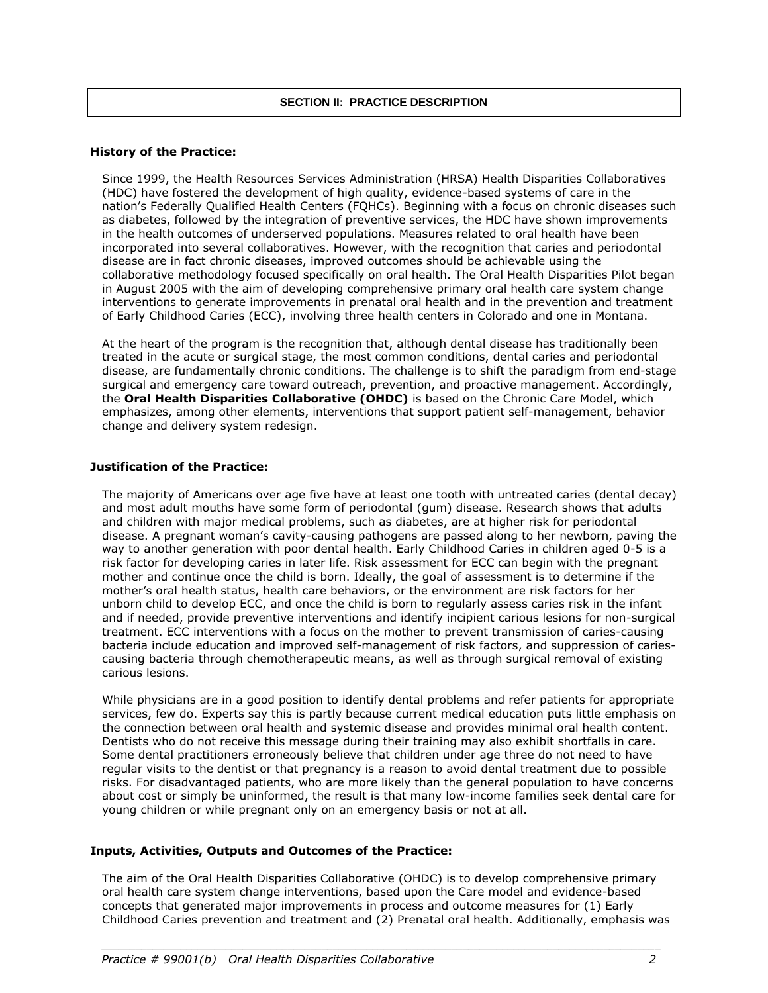#### **History of the Practice:**

Since 1999, the Health Resources Services Administration (HRSA) Health Disparities Collaboratives (HDC) have fostered the development of high quality, evidence-based systems of care in the nation's Federally Qualified Health Centers (FQHCs). Beginning with a focus on chronic diseases such as diabetes, followed by the integration of preventive services, the HDC have shown improvements in the health outcomes of underserved populations. Measures related to oral health have been incorporated into several collaboratives. However, with the recognition that caries and periodontal disease are in fact chronic diseases, improved outcomes should be achievable using the collaborative methodology focused specifically on oral health. The Oral Health Disparities Pilot began in August 2005 with the aim of developing comprehensive primary oral health care system change interventions to generate improvements in prenatal oral health and in the prevention and treatment of Early Childhood Caries (ECC), involving three health centers in Colorado and one in Montana.

At the heart of the program is the recognition that, although dental disease has traditionally been treated in the acute or surgical stage, the most common conditions, dental caries and periodontal disease, are fundamentally chronic conditions. The challenge is to shift the paradigm from end-stage surgical and emergency care toward outreach, prevention, and proactive management. Accordingly, the **Oral Health Disparities Collaborative (OHDC)** is based on the Chronic Care Model, which emphasizes, among other elements, interventions that support patient self-management, behavior change and delivery system redesign.

#### **Justification of the Practice:**

The majority of Americans over age five have at least one tooth with untreated caries (dental decay) and most adult mouths have some form of periodontal (gum) disease. Research shows that adults and children with major medical problems, such as diabetes, are at higher risk for periodontal disease. A pregnant woman's cavity-causing pathogens are passed along to her newborn, paving the way to another generation with poor dental health. Early Childhood Caries in children aged 0-5 is a risk factor for developing caries in later life. Risk assessment for ECC can begin with the pregnant mother and continue once the child is born. Ideally, the goal of assessment is to determine if the mother's oral health status, health care behaviors, or the environment are risk factors for her unborn child to develop ECC, and once the child is born to regularly assess caries risk in the infant and if needed, provide preventive interventions and identify incipient carious lesions for non-surgical treatment. ECC interventions with a focus on the mother to prevent transmission of caries-causing bacteria include education and improved self-management of risk factors, and suppression of cariescausing bacteria through chemotherapeutic means, as well as through surgical removal of existing carious lesions.

While physicians are in a good position to identify dental problems and refer patients for appropriate services, few do. Experts say this is partly because current medical education puts little emphasis on the connection between oral health and systemic disease and provides minimal oral health content. Dentists who do not receive this message during their training may also exhibit shortfalls in care. Some dental practitioners erroneously believe that children under age three do not need to have regular visits to the dentist or that pregnancy is a reason to avoid dental treatment due to possible risks. For disadvantaged patients, who are more likely than the general population to have concerns about cost or simply be uninformed, the result is that many low-income families seek dental care for young children or while pregnant only on an emergency basis or not at all.

## **Inputs, Activities, Outputs and Outcomes of the Practice:**

The aim of the Oral Health Disparities Collaborative (OHDC) is to develop comprehensive primary oral health care system change interventions, based upon the Care model and evidence-based concepts that generated major improvements in process and outcome measures for (1) Early Childhood Caries prevention and treatment and (2) Prenatal oral health. Additionally, emphasis was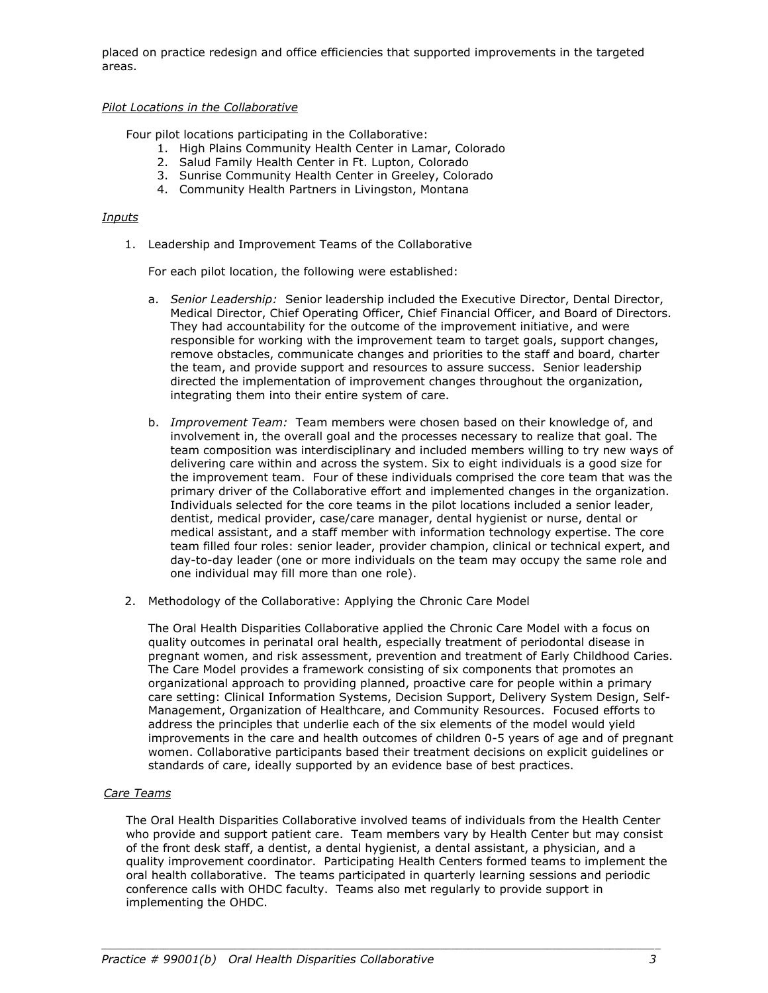placed on practice redesign and office efficiencies that supported improvements in the targeted areas.

## *Pilot Locations in the Collaborative*

Four pilot locations participating in the Collaborative:

- 1. High Plains Community Health Center in Lamar, Colorado
- 2. Salud Family Health Center in Ft. Lupton, Colorado
- 3. Sunrise Community Health Center in Greeley, Colorado
- 4. Community Health Partners in Livingston, Montana

#### *Inputs*

1. Leadership and Improvement Teams of the Collaborative

For each pilot location, the following were established:

- a. *Senior Leadership:* Senior leadership included the Executive Director, Dental Director, Medical Director, Chief Operating Officer, Chief Financial Officer, and Board of Directors*.*  They had accountability for the outcome of the improvement initiative, and were responsible for working with the improvement team to target goals, support changes, remove obstacles, communicate changes and priorities to the staff and board, charter the team, and provide support and resources to assure success. Senior leadership directed the implementation of improvement changes throughout the organization, integrating them into their entire system of care.
- b. *Improvement Team:* Team members were chosen based on their knowledge of, and involvement in, the overall goal and the processes necessary to realize that goal. The team composition was interdisciplinary and included members willing to try new ways of delivering care within and across the system. Six to eight individuals is a good size for the improvement team. Four of these individuals comprised the core team that was the primary driver of the Collaborative effort and implemented changes in the organization. Individuals selected for the core teams in the pilot locations included a senior leader, dentist, medical provider, case/care manager, dental hygienist or nurse, dental or medical assistant, and a staff member with information technology expertise. The core team filled four roles: senior leader, provider champion, clinical or technical expert, and day-to-day leader (one or more individuals on the team may occupy the same role and one individual may fill more than one role).
- 2. Methodology of the Collaborative: Applying the Chronic Care Model

The Oral Health Disparities Collaborative applied the Chronic Care Model with a focus on quality outcomes in perinatal oral health, especially treatment of periodontal disease in pregnant women, and risk assessment, prevention and treatment of Early Childhood Caries. The Care Model provides a framework consisting of six components that promotes an organizational approach to providing planned, proactive care for people within a primary care setting: Clinical Information Systems, Decision Support, Delivery System Design, Self-Management, Organization of Healthcare, and Community Resources. Focused efforts to address the principles that underlie each of the six elements of the model would yield improvements in the care and health outcomes of children 0-5 years of age and of pregnant women. Collaborative participants based their treatment decisions on explicit guidelines or standards of care, ideally supported by an evidence base of best practices.

## *Care Teams*

The Oral Health Disparities Collaborative involved teams of individuals from the Health Center who provide and support patient care. Team members vary by Health Center but may consist of the front desk staff, a dentist, a dental hygienist, a dental assistant, a physician, and a quality improvement coordinator. Participating Health Centers formed teams to implement the oral health collaborative. The teams participated in quarterly learning sessions and periodic conference calls with OHDC faculty. Teams also met regularly to provide support in implementing the OHDC.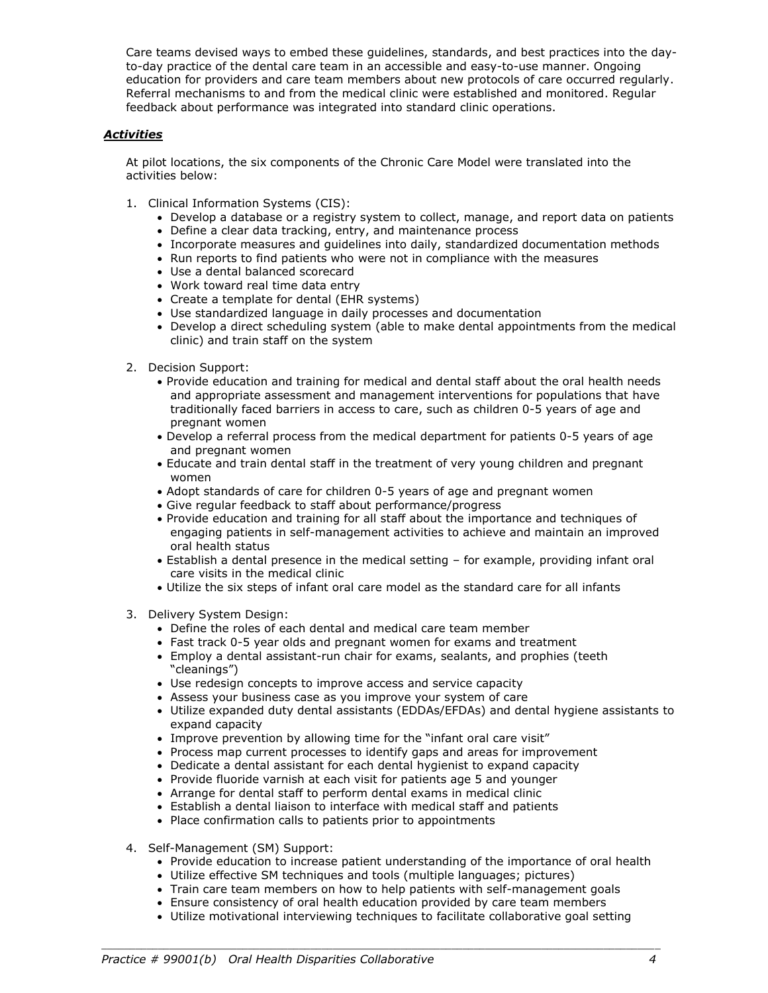Care teams devised ways to embed these guidelines, standards, and best practices into the dayto-day practice of the dental care team in an accessible and easy-to-use manner. Ongoing education for providers and care team members about new protocols of care occurred regularly. Referral mechanisms to and from the medical clinic were established and monitored. Regular feedback about performance was integrated into standard clinic operations.

## *Activities*

At pilot locations, the six components of the Chronic Care Model were translated into the activities below:

- 1. Clinical Information Systems (CIS):
	- Develop a database or a registry system to collect, manage, and report data on patients
	- Define a clear data tracking, entry, and maintenance process
	- Incorporate measures and guidelines into daily, standardized documentation methods
	- Run reports to find patients who were not in compliance with the measures
	- Use a dental balanced scorecard
	- Work toward real time data entry
	- Create a template for dental (EHR systems)
	- Use standardized language in daily processes and documentation
	- Develop a direct scheduling system (able to make dental appointments from the medical clinic) and train staff on the system
- 2. Decision Support:
	- Provide education and training for medical and dental staff about the oral health needs and appropriate assessment and management interventions for populations that have traditionally faced barriers in access to care, such as children 0-5 years of age and pregnant women
	- Develop a referral process from the medical department for patients 0-5 years of age and pregnant women
	- Educate and train dental staff in the treatment of very young children and pregnant women
	- Adopt standards of care for children 0-5 years of age and pregnant women
	- Give regular feedback to staff about performance/progress
	- Provide education and training for all staff about the importance and techniques of engaging patients in self-management activities to achieve and maintain an improved oral health status
	- Establish a dental presence in the medical setting for example, providing infant oral care visits in the medical clinic
	- Utilize the six steps of infant oral care model as the standard care for all infants
- 3. Delivery System Design:
	- Define the roles of each dental and medical care team member
	- Fast track 0-5 year olds and pregnant women for exams and treatment
	- Employ a dental assistant-run chair for exams, sealants, and prophies (teeth "cleanings")
	- Use redesign concepts to improve access and service capacity
	- Assess your business case as you improve your system of care
	- Utilize expanded duty dental assistants (EDDAs/EFDAs) and dental hygiene assistants to expand capacity
	- Improve prevention by allowing time for the "infant oral care visit"
	- Process map current processes to identify gaps and areas for improvement
	- Dedicate a dental assistant for each dental hygienist to expand capacity
	- Provide fluoride varnish at each visit for patients age 5 and younger
	- Arrange for dental staff to perform dental exams in medical clinic
	- Establish a dental liaison to interface with medical staff and patients
	- Place confirmation calls to patients prior to appointments
- 4. Self-Management (SM) Support:
	- Provide education to increase patient understanding of the importance of oral health
	- Utilize effective SM techniques and tools (multiple languages; pictures)
	- Train care team members on how to help patients with self-management goals
	- Ensure consistency of oral health education provided by care team members

*\_\_\_\_\_\_\_\_\_\_\_\_\_\_\_\_\_\_\_\_\_\_\_\_\_\_\_\_\_\_\_\_\_\_\_\_\_\_\_\_\_\_\_\_\_\_\_\_\_\_\_\_\_\_\_\_\_\_\_\_\_\_\_\_\_\_\_\_\_\_\_\_\_\_\_\_\_\_\_\_\_\_\_\_\_\_\_\_\_\_\_\_\_\_\_\_\_\_\_*

Utilize motivational interviewing techniques to facilitate collaborative goal setting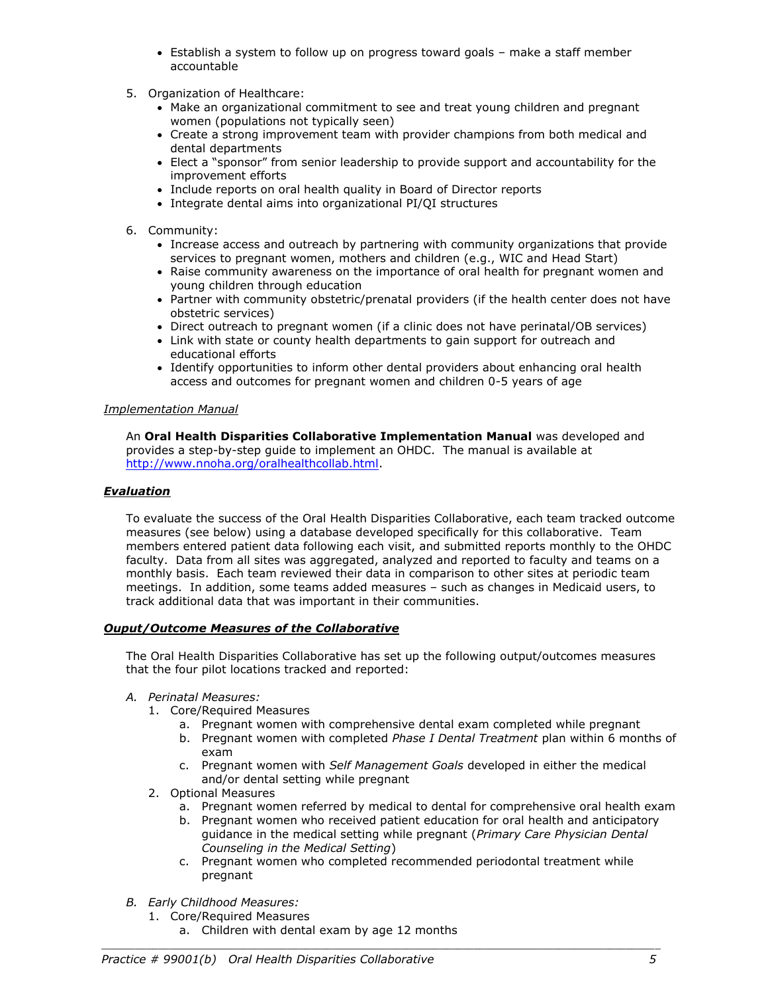- Establish a system to follow up on progress toward goals make a staff member accountable
- 5. Organization of Healthcare:
	- Make an organizational commitment to see and treat young children and pregnant women (populations not typically seen)
	- Create a strong improvement team with provider champions from both medical and dental departments
	- Elect a "sponsor" from senior leadership to provide support and accountability for the improvement efforts
	- Include reports on oral health quality in Board of Director reports
	- Integrate dental aims into organizational PI/QI structures
- 6. Community:
	- Increase access and outreach by partnering with community organizations that provide services to pregnant women, mothers and children (e.g., WIC and Head Start)
	- Raise community awareness on the importance of oral health for pregnant women and young children through education
	- Partner with community obstetric/prenatal providers (if the health center does not have obstetric services)
	- Direct outreach to pregnant women (if a clinic does not have perinatal/OB services)
	- Link with state or county health departments to gain support for outreach and educational efforts
	- Identify opportunities to inform other dental providers about enhancing oral health access and outcomes for pregnant women and children 0-5 years of age

## *Implementation Manual*

An **Oral Health Disparities Collaborative Implementation Manual** was developed and provides a step-by-step guide to implement an OHDC. The manual is available at [http://www.nnoha.org/oralhealthcollab.html.](http://www.nnoha.org/oralhealthcollab.html)

## *Evaluation*

To evaluate the success of the Oral Health Disparities Collaborative, each team tracked outcome measures (see below) using a database developed specifically for this collaborative. Team members entered patient data following each visit, and submitted reports monthly to the OHDC faculty. Data from all sites was aggregated, analyzed and reported to faculty and teams on a monthly basis. Each team reviewed their data in comparison to other sites at periodic team meetings. In addition, some teams added measures – such as changes in Medicaid users, to track additional data that was important in their communities.

## *Ouput/Outcome Measures of the Collaborative*

The Oral Health Disparities Collaborative has set up the following output/outcomes measures that the four pilot locations tracked and reported:

## *A. Perinatal Measures:*

- 1. Core/Required Measures
	- a. Pregnant women with comprehensive dental exam completed while pregnant
	- b. Pregnant women with completed *Phase I Dental Treatment* plan within 6 months of exam
	- c. Pregnant women with *Self Management Goals* developed in either the medical and/or dental setting while pregnant
- 2. Optional Measures
	- a. Pregnant women referred by medical to dental for comprehensive oral health exam
	- b. Pregnant women who received patient education for oral health and anticipatory guidance in the medical setting while pregnant (*Primary Care Physician Dental Counseling in the Medical Setting*)
	- c. Pregnant women who completed recommended periodontal treatment while pregnant

- *B. Early Childhood Measures:*
	- 1. Core/Required Measures
		- a. Children with dental exam by age 12 months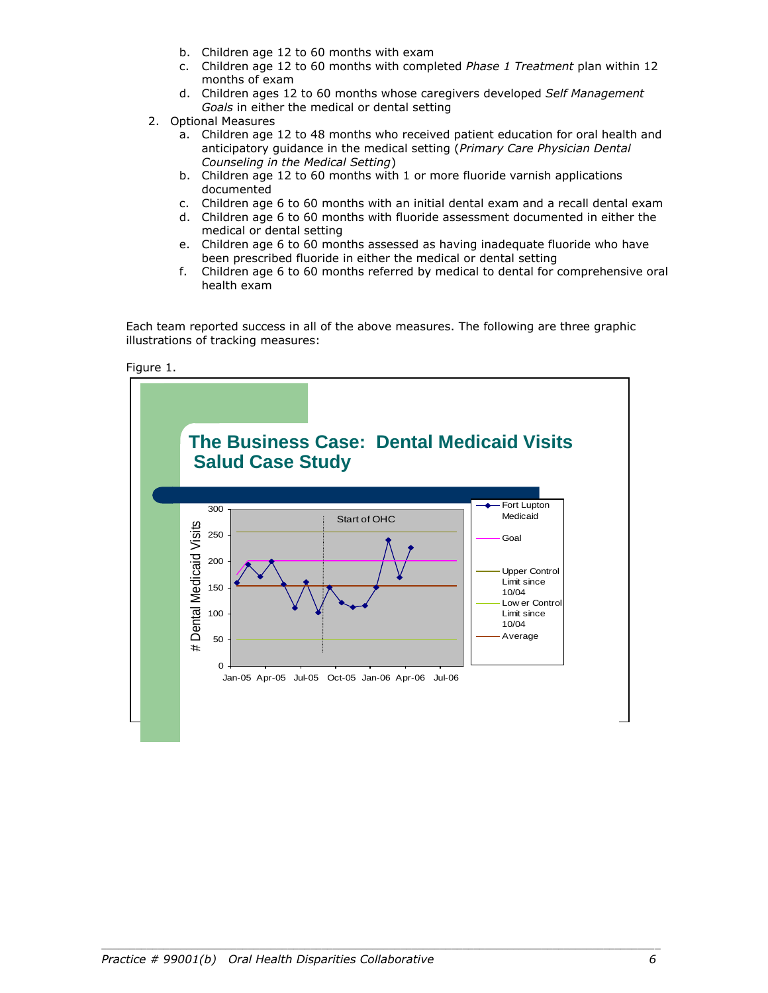- b. Children age 12 to 60 months with exam
- c. Children age 12 to 60 months with completed *Phase 1 Treatment* plan within 12 months of exam
- d. Children ages 12 to 60 months whose caregivers developed *Self Management Goals* in either the medical or dental setting
- 2. Optional Measures
	- a. Children age 12 to 48 months who received patient education for oral health and anticipatory guidance in the medical setting (*Primary Care Physician Dental Counseling in the Medical Setting*)
	- b. Children age 12 to 60 months with 1 or more fluoride varnish applications documented
	- c. Children age 6 to 60 months with an initial dental exam and a recall dental exam
	- d. Children age 6 to 60 months with fluoride assessment documented in either the medical or dental setting
	- e. Children age 6 to 60 months assessed as having inadequate fluoride who have been prescribed fluoride in either the medical or dental setting
	- f. Children age 6 to 60 months referred by medical to dental for comprehensive oral health exam

Each team reported success in all of the above measures. The following are three graphic illustrations of tracking measures:

Figure 1.

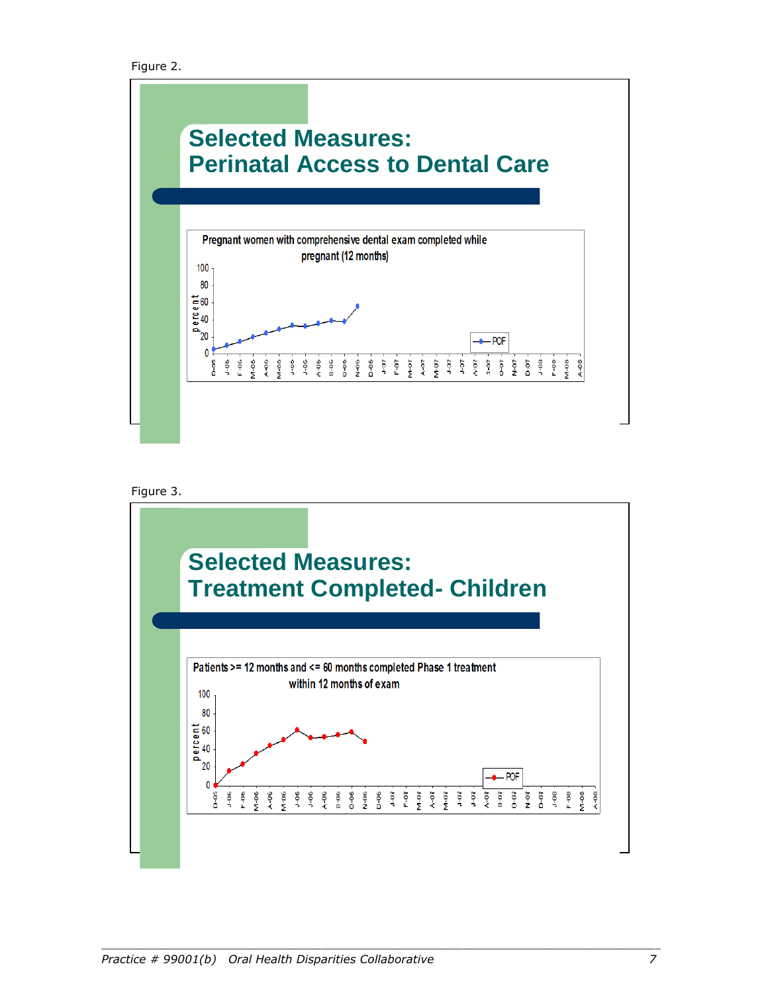```
 Figure 2.
```




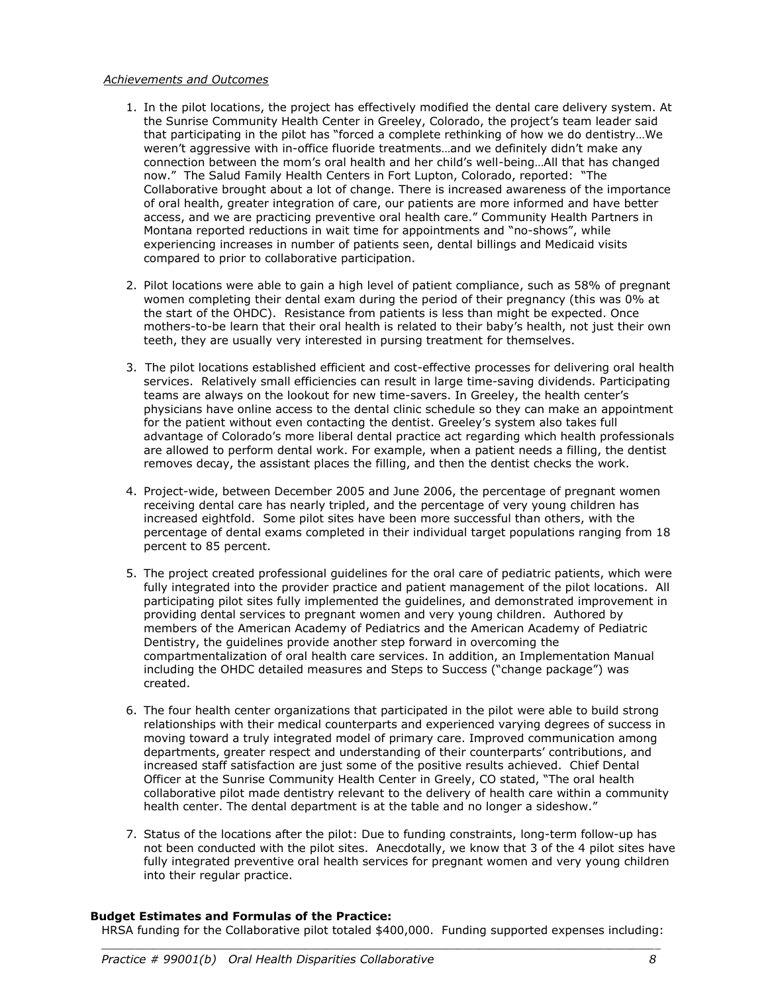#### *Achievements and Outcomes*

- 1. In the pilot locations, the project has effectively modified the dental care delivery system. At the Sunrise Community Health Center in Greeley, Colorado, the project's team leader said that participating in the pilot has "forced a complete rethinking of how we do dentistry…We weren't aggressive with in-office fluoride treatments…and we definitely didn't make any connection between the mom's oral health and her child's well-being…All that has changed now." The Salud Family Health Centers in Fort Lupton, Colorado, reported: "The Collaborative brought about a lot of change. There is increased awareness of the importance of oral health, greater integration of care, our patients are more informed and have better access, and we are practicing preventive oral health care." Community Health Partners in Montana reported reductions in wait time for appointments and "no-shows", while experiencing increases in number of patients seen, dental billings and Medicaid visits compared to prior to collaborative participation.
- 2. Pilot locations were able to gain a high level of patient compliance, such as 58% of pregnant women completing their dental exam during the period of their pregnancy (this was 0% at the start of the OHDC). Resistance from patients is less than might be expected. Once mothers-to-be learn that their oral health is related to their baby's health, not just their own teeth, they are usually very interested in pursing treatment for themselves.
- 3. The pilot locations established efficient and cost-effective processes for delivering oral health services. Relatively small efficiencies can result in large time-saving dividends. Participating teams are always on the lookout for new time-savers. In Greeley, the health center's physicians have online access to the dental clinic schedule so they can make an appointment for the patient without even contacting the dentist. Greeley's system also takes full advantage of Colorado's more liberal dental practice act regarding which health professionals are allowed to perform dental work. For example, when a patient needs a filling, the dentist removes decay, the assistant places the filling, and then the dentist checks the work.
- 4. Project-wide, between December 2005 and June 2006, the percentage of pregnant women receiving dental care has nearly tripled, and the percentage of very young children has increased eightfold. Some pilot sites have been more successful than others, with the percentage of dental exams completed in their individual target populations ranging from 18 percent to 85 percent.
- 5. The project created [professional guidelines](http://www.cdhp.org/Projects/PPMCHResources.asp) for the oral care of pediatric patients, which were fully integrated into the provider practice and patient management of the pilot locations. All participating pilot sites fully implemented the guidelines, and demonstrated improvement in providing dental services to pregnant women and very young children. Authored by members of the American Academy of Pediatrics and the American Academy of Pediatric Dentistry, the guidelines provide another step forward in overcoming the compartmentalization of oral health care services. In addition, an Implementation Manual including the OHDC detailed measures and Steps to Success ("change package") was created.
- 6. The four health center organizations that participated in the pilot were able to build strong relationships with their medical counterparts and experienced varying degrees of success in moving toward a truly integrated model of primary care. Improved communication among departments, greater respect and understanding of their counterparts' contributions, and increased staff satisfaction are just some of the positive results achieved. Chief Dental Officer at the Sunrise Community Health Center in Greely, CO stated, "The oral health collaborative pilot made dentistry relevant to the delivery of health care within a community health center. The dental department is at the table and no longer a sideshow."
- 7. Status of the locations after the pilot: Due to funding constraints, long-term follow-up has not been conducted with the pilot sites. Anecdotally, we know that 3 of the 4 pilot sites have fully integrated preventive oral health services for pregnant women and very young children into their regular practice.

## **Budget Estimates and Formulas of the Practice:**

*\_\_\_\_\_\_\_\_\_\_\_\_\_\_\_\_\_\_\_\_\_\_\_\_\_\_\_\_\_\_\_\_\_\_\_\_\_\_\_\_\_\_\_\_\_\_\_\_\_\_\_\_\_\_\_\_\_\_\_\_\_\_\_\_\_\_\_\_\_\_\_\_\_\_\_\_\_\_\_\_\_\_\_\_\_\_\_\_\_\_\_\_\_\_\_\_\_\_\_* HRSA funding for the Collaborative pilot totaled \$400,000. Funding supported expenses including: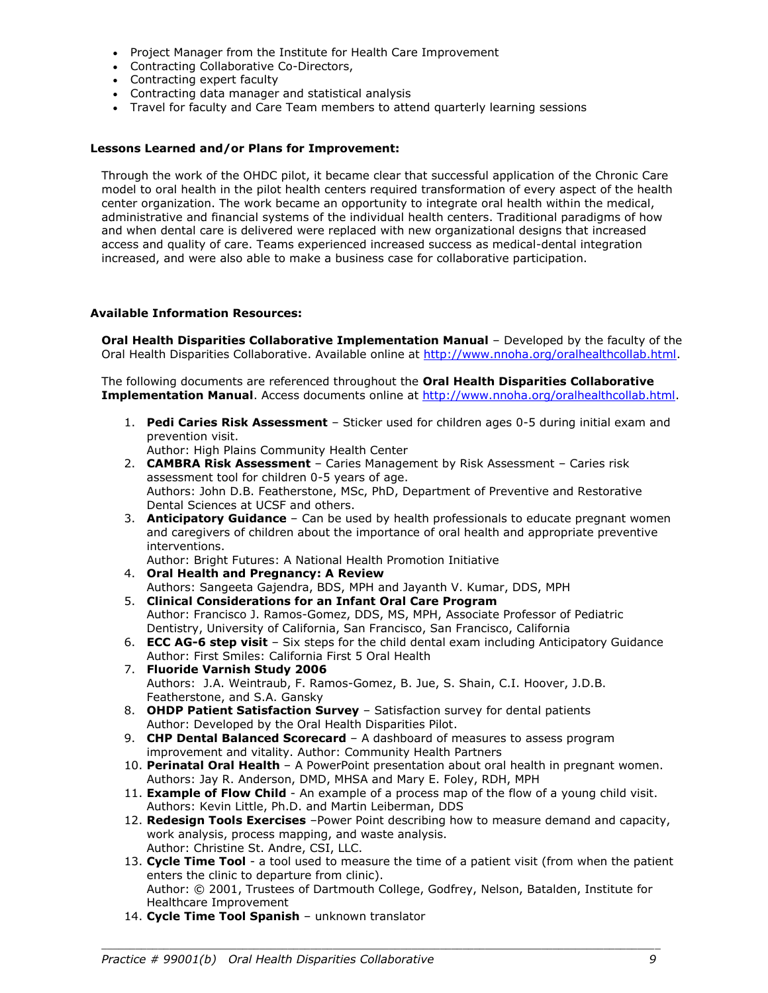- Project Manager from the Institute for Health Care Improvement
- Contracting Collaborative Co-Directors,
- Contracting expert faculty
- Contracting data manager and statistical analysis
- Travel for faculty and Care Team members to attend quarterly learning sessions

#### **Lessons Learned and/or Plans for Improvement:**

Through the work of the OHDC pilot, it became clear that successful application of the Chronic Care model to oral health in the pilot health centers required transformation of every aspect of the health center organization. The work became an opportunity to integrate oral health within the medical, administrative and financial systems of the individual health centers. Traditional paradigms of how and when dental care is delivered were replaced with new organizational designs that increased access and quality of care. Teams experienced increased success as medical-dental integration increased, and were also able to make a business case for collaborative participation.

#### **Available Information Resources:**

**Oral Health Disparities Collaborative Implementation Manual** – Developed by the faculty of the Oral Health Disparities Collaborative. Available online at [http://www.nnoha.org/oralhealthcollab.html.](http://www.nnoha.org/oralhealthcollab.html)

The following documents are referenced throughout the **Oral Health Disparities Collaborative Implementation Manual**. Access documents online at [http://www.nnoha.org/oralhealthcollab.html.](http://www.nnoha.org/oralhealthcollab.html)

1. **Pedi Caries Risk Assessment** – Sticker used for children ages 0-5 during initial exam and prevention visit.

Author: High Plains Community Health Center

- 2. **CAMBRA Risk Assessment** Caries Management by Risk Assessment Caries risk assessment tool for children 0-5 years of age. Authors: John D.B. Featherstone, MSc, PhD, Department of Preventive and Restorative Dental Sciences at UCSF and others.
- 3. **Anticipatory Guidance** Can be used by health professionals to educate pregnant women and caregivers of children about the importance of oral health and appropriate preventive interventions.
	- Author: Bright Futures: A National Health Promotion Initiative
- 4. **Oral Health and Pregnancy: A Review** Authors: Sangeeta Gajendra, BDS, MPH and Jayanth V. Kumar, DDS, MPH
- 5. **Clinical Considerations for an Infant Oral Care Program** Author: Francisco J. Ramos-Gomez, DDS, MS, MPH, Associate Professor of Pediatric Dentistry, University of California, San Francisco, San Francisco, California
- 6. **ECC AG-6 step visit** Six steps for the child dental exam including Anticipatory Guidance Author: First Smiles: California First 5 Oral Health
- 7. **Fluoride Varnish Study 2006** Authors: J.A. Weintraub, F. Ramos-Gomez, B. Jue, S. Shain, C.I. Hoover, J.D.B. Featherstone, and S.A. Gansky
- 8. **OHDP Patient Satisfaction Survey** Satisfaction survey for dental patients Author: Developed by the Oral Health Disparities Pilot.
- 9. **CHP Dental Balanced Scorecard** A dashboard of measures to assess program improvement and vitality. Author: Community Health Partners
- 10. **Perinatal Oral Health**  A PowerPoint presentation about oral health in pregnant women. Authors: Jay R. Anderson, DMD, MHSA and Mary E. Foley, RDH, MPH
- 11. **Example of Flow Child** An example of a process map of the flow of a young child visit. Authors: Kevin Little, Ph.D. and Martin Leiberman, DDS
- 12. **Redesign Tools Exercises** –Power Point describing how to measure demand and capacity, work analysis, process mapping, and waste analysis. Author: Christine St. Andre, CSI, LLC.
- 13. **Cycle Time Tool** a tool used to measure the time of a patient visit (from when the patient enters the clinic to departure from clinic). Author: © 2001, Trustees of Dartmouth College, Godfrey, Nelson, Batalden, Institute for Healthcare Improvement

*\_\_\_\_\_\_\_\_\_\_\_\_\_\_\_\_\_\_\_\_\_\_\_\_\_\_\_\_\_\_\_\_\_\_\_\_\_\_\_\_\_\_\_\_\_\_\_\_\_\_\_\_\_\_\_\_\_\_\_\_\_\_\_\_\_\_\_\_\_\_\_\_\_\_\_\_\_\_\_\_\_\_\_\_\_\_\_\_\_\_\_\_\_\_\_\_\_\_\_*

14. **Cycle Time Tool Spanish** – unknown translator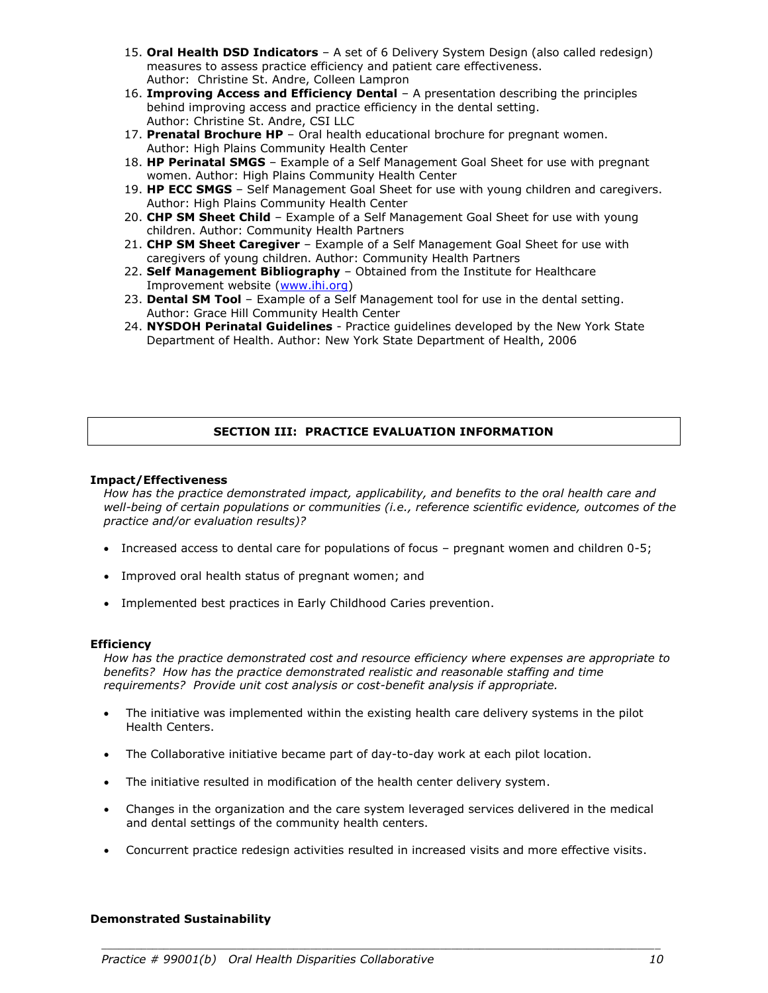- 15. **Oral Health DSD Indicators** A set of 6 Delivery System Design (also called redesign) measures to assess practice efficiency and patient care effectiveness. Author: Christine St. Andre, Colleen Lampron
- 16. **Improving Access and Efficiency Dental** A presentation describing the principles behind improving access and practice efficiency in the dental setting. Author: Christine St. Andre, CSI LLC
- 17. **Prenatal Brochure HP** Oral health educational brochure for pregnant women. Author: High Plains Community Health Center
- 18. **HP Perinatal SMGS** Example of a Self Management Goal Sheet for use with pregnant women. Author: High Plains Community Health Center
- 19. **HP ECC SMGS** Self Management Goal Sheet for use with young children and caregivers. Author: High Plains Community Health Center
- 20. **CHP SM Sheet Child** Example of a Self Management Goal Sheet for use with young children. Author: Community Health Partners
- 21. **CHP SM Sheet Caregiver** Example of a Self Management Goal Sheet for use with caregivers of young children. Author: Community Health Partners
- 22. **Self Management Bibliography** Obtained from the Institute for Healthcare Improvement website [\(www.ihi.org\)](http://www.ihi.org/)
- 23. **Dental SM Tool** Example of a Self Management tool for use in the dental setting. Author: Grace Hill Community Health Center
- 24. **NYSDOH Perinatal Guidelines** Practice guidelines developed by the New York State Department of Health. Author: New York State Department of Health, 2006

# **SECTION III: PRACTICE EVALUATION INFORMATION**

#### **Impact/Effectiveness**

*How has the practice demonstrated impact, applicability, and benefits to the oral health care and well-being of certain populations or communities (i.e., reference scientific evidence, outcomes of the practice and/or evaluation results)?*

- Increased access to dental care for populations of focus pregnant women and children 0-5;
- Improved oral health status of pregnant women; and
- Implemented best practices in Early Childhood Caries prevention.

#### **Efficiency**

*How has the practice demonstrated cost and resource efficiency where expenses are appropriate to benefits? How has the practice demonstrated realistic and reasonable staffing and time requirements? Provide unit cost analysis or cost-benefit analysis if appropriate.*

- The initiative was implemented within the existing health care delivery systems in the pilot Health Centers.
- The Collaborative initiative became part of day-to-day work at each pilot location.
- The initiative resulted in modification of the health center delivery system.
- Changes in the organization and the care system leveraged services delivered in the medical and dental settings of the community health centers.
- Concurrent practice redesign activities resulted in increased visits and more effective visits.

*\_\_\_\_\_\_\_\_\_\_\_\_\_\_\_\_\_\_\_\_\_\_\_\_\_\_\_\_\_\_\_\_\_\_\_\_\_\_\_\_\_\_\_\_\_\_\_\_\_\_\_\_\_\_\_\_\_\_\_\_\_\_\_\_\_\_\_\_\_\_\_\_\_\_\_\_\_\_\_\_\_\_\_\_\_\_\_\_\_\_\_\_\_\_\_\_\_\_\_*

## **Demonstrated Sustainability**